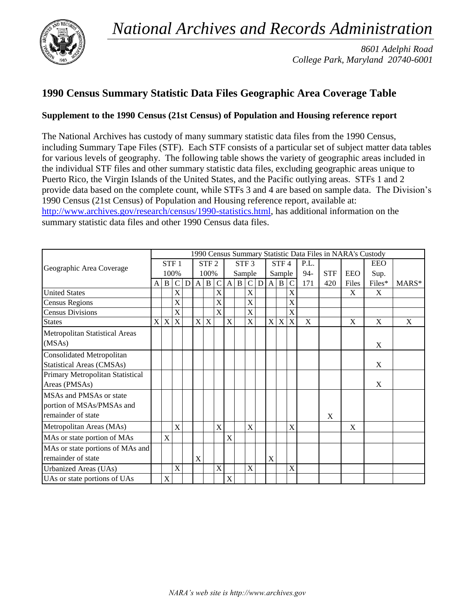*National Archives and Records Administration* 



*8601 Adelphi Road College Park, Maryland 20740-6001*

## **1990 Census Summary Statistic Data Files Geographic Area Coverage Table**

## **Supplement to the 1990 Census (21st Census) of Population and Housing reference report**

The National Archives has custody of many summary statistic data files from the 1990 Census, including Summary Tape Files (STF). Each STF consists of a particular set of subject matter data tables for various levels of geography. The following table shows the variety of geographic areas included in the individual STF files and other summary statistic data files, excluding geographic areas unique to Puerto Rico, the Virgin Islands of the United States, and the Pacific outlying areas. STFs 1 and 2 provide data based on the complete count, while STFs 3 and 4 are based on sample data. The Division's 1990 Census (21st Census) of Population and Housing reference report, available at: [http://www.archives.gov/research/census/1990-statistics.html,](http://www.archives.gov/research/census/1990-statistics.html) has additional information on the summary statistic data files and other 1990 Census data files.

|                                  |              |             |                  |   |              |                  |                           |              |   |                  |   |              |      |             |       |            |       | 1990 Census Summary Statistic Data Files in NARA's Custody<br><b>EEO</b><br>Sup.<br>Files*<br>X<br>X<br>X<br>X<br>X |         |
|----------------------------------|--------------|-------------|------------------|---|--------------|------------------|---------------------------|--------------|---|------------------|---|--------------|------|-------------|-------|------------|-------|---------------------------------------------------------------------------------------------------------------------|---------|
| Geographic Area Coverage         |              |             | STF <sub>1</sub> |   |              | STF <sub>2</sub> |                           |              |   | STF <sub>3</sub> |   |              | STF4 |             | P.L.  |            |       |                                                                                                                     |         |
|                                  | 100%         |             |                  |   | 100%         |                  |                           |              |   | Sample           |   | Sample       |      |             | $94-$ | <b>STF</b> | EEO   |                                                                                                                     |         |
|                                  | $\mathbf{A}$ | B           | C                | D | $\mathbf{A}$ | B                | C                         | $\mathbf{A}$ | B | C                | D | $\mathbf{A}$ | B    |             | 171   | 420        | Files |                                                                                                                     | $MARS*$ |
| <b>United States</b>             |              |             | $\mathbf X$      |   |              |                  | X                         |              |   | X                |   |              |      | X           |       |            | X     |                                                                                                                     |         |
| <b>Census Regions</b>            |              |             | $\mathbf X$      |   |              |                  | X                         |              |   | X                |   |              |      | X           |       |            |       |                                                                                                                     |         |
| <b>Census Divisions</b>          |              |             | X                |   |              |                  | X                         |              |   | X                |   |              |      | X           |       |            |       |                                                                                                                     |         |
| <b>States</b>                    | X            | $\mathbf X$ | $\mathbf X$      |   | $\mathbf X$  | X                |                           | X            |   | X                |   |              | X X  | $\mathbf X$ | X     |            | X     |                                                                                                                     | X       |
| Metropolitan Statistical Areas   |              |             |                  |   |              |                  |                           |              |   |                  |   |              |      |             |       |            |       |                                                                                                                     |         |
| (MSAs)                           |              |             |                  |   |              |                  |                           |              |   |                  |   |              |      |             |       |            |       |                                                                                                                     |         |
| <b>Consolidated Metropolitan</b> |              |             |                  |   |              |                  |                           |              |   |                  |   |              |      |             |       |            |       |                                                                                                                     |         |
| <b>Statistical Areas (CMSAs)</b> |              |             |                  |   |              |                  |                           |              |   |                  |   |              |      |             |       |            |       |                                                                                                                     |         |
| Primary Metropolitan Statistical |              |             |                  |   |              |                  |                           |              |   |                  |   |              |      |             |       |            |       |                                                                                                                     |         |
| Areas (PMSAs)                    |              |             |                  |   |              |                  |                           |              |   |                  |   |              |      |             |       |            |       |                                                                                                                     |         |
| MSAs and PMSAs or state          |              |             |                  |   |              |                  |                           |              |   |                  |   |              |      |             |       |            |       |                                                                                                                     |         |
| portion of MSAs/PMSAs and        |              |             |                  |   |              |                  |                           |              |   |                  |   |              |      |             |       |            |       |                                                                                                                     |         |
| remainder of state               |              |             |                  |   |              |                  |                           |              |   |                  |   |              |      |             |       | X          |       |                                                                                                                     |         |
| Metropolitan Areas (MAs)         |              |             | X                |   |              |                  | X                         |              |   | X                |   |              |      | X           |       |            | X     |                                                                                                                     |         |
| MAs or state portion of MAs      |              | X           |                  |   |              |                  |                           | X            |   |                  |   |              |      |             |       |            |       |                                                                                                                     |         |
| MAs or state portions of MAs and |              |             |                  |   |              |                  |                           |              |   |                  |   |              |      |             |       |            |       |                                                                                                                     |         |
| remainder of state               |              |             |                  |   | X            |                  |                           |              |   |                  |   | X            |      |             |       |            |       |                                                                                                                     |         |
| Urbanized Areas (UAs)            |              |             | X                |   |              |                  | $\boldsymbol{\mathrm{X}}$ |              |   | X                |   |              |      | X           |       |            |       |                                                                                                                     |         |
| UAs or state portions of UAs     |              | X           |                  |   |              |                  |                           | X            |   |                  |   |              |      |             |       |            |       |                                                                                                                     |         |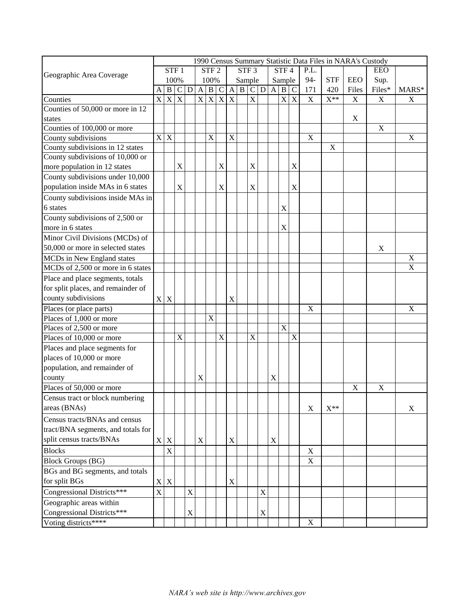|                                    |                         |                  |                |             |              |                  |             |                         |                 |                           |             |             |                      |             |             |             | 1990 Census Summary Statistic Data Files in NARA's Custody |                  |             |
|------------------------------------|-------------------------|------------------|----------------|-------------|--------------|------------------|-------------|-------------------------|-----------------|---------------------------|-------------|-------------|----------------------|-------------|-------------|-------------|------------------------------------------------------------|------------------|-------------|
|                                    |                         | STF <sub>1</sub> |                |             |              | STF <sub>2</sub> |             |                         |                 | STF <sub>3</sub>          |             | STF4        |                      | P.L.        |             |             | EEO                                                        |                  |             |
| Geographic Area Coverage           |                         |                  | 100%           |             |              | 100%             |             |                         |                 | Sample                    |             |             | Sample               |             | 94-         | <b>STF</b>  | EEO                                                        | Sup.             |             |
|                                    | A                       | $\mathbf B$      | $\mathbf C$    | $\mathbf D$ | $\mathbf{A}$ | $\vert B \vert$  | $\mathbf C$ | $\mathbf{A}$            | $\vert B \vert$ |                           | C D         |             | $\overline{A}   B  $ | C           | 171         | 420         | Files                                                      | Files*           | $MARS*$     |
| Counties                           | $\overline{\mathbf{X}}$ | $\overline{X}$   | $\overline{X}$ |             |              | X X X X          |             |                         |                 | $\overline{\text{X}}$     |             |             |                      | X X         | $\mathbf X$ | $X^{**}$    | $\mathbf X$                                                | $\mathbf X$      | $\mathbf X$ |
| Counties of 50,000 or more in 12   |                         |                  |                |             |              |                  |             |                         |                 |                           |             |             |                      |             |             |             |                                                            |                  |             |
| states                             |                         |                  |                |             |              |                  |             |                         |                 |                           |             |             |                      |             |             |             | $\mathbf X$                                                |                  |             |
| Counties of 100,000 or more        |                         |                  |                |             |              |                  |             |                         |                 |                           |             |             |                      |             |             |             |                                                            | $\mathbf X$      |             |
| County subdivisions                | $\mathbf X$             | X                |                |             |              | X                |             | $\overline{\mathrm{X}}$ |                 |                           |             |             |                      |             | $\mathbf X$ |             |                                                            |                  | $\mathbf X$ |
| County subdivisions in 12 states   |                         |                  |                |             |              |                  |             |                         |                 |                           |             |             |                      |             |             | $\mathbf X$ |                                                            |                  |             |
| County subdivisions of 10,000 or   |                         |                  |                |             |              |                  |             |                         |                 |                           |             |             |                      |             |             |             |                                                            |                  |             |
| more population in 12 states       |                         |                  | X              |             |              |                  | X           |                         |                 | X                         |             |             |                      | $\mathbf X$ |             |             |                                                            |                  |             |
| County subdivisions under 10,000   |                         |                  |                |             |              |                  |             |                         |                 |                           |             |             |                      |             |             |             |                                                            |                  |             |
| population inside MAs in 6 states  |                         |                  | X              |             |              |                  | X           |                         |                 | X                         |             |             |                      | $\mathbf X$ |             |             |                                                            |                  |             |
| County subdivisions inside MAs in  |                         |                  |                |             |              |                  |             |                         |                 |                           |             |             |                      |             |             |             |                                                            |                  |             |
| 6 states                           |                         |                  |                |             |              |                  |             |                         |                 |                           |             |             | X                    |             |             |             |                                                            |                  |             |
| County subdivisions of 2,500 or    |                         |                  |                |             |              |                  |             |                         |                 |                           |             |             |                      |             |             |             |                                                            |                  |             |
| more in 6 states                   |                         |                  |                |             |              |                  |             |                         |                 |                           |             |             | $\mathbf X$          |             |             |             |                                                            |                  |             |
| Minor Civil Divisions (MCDs) of    |                         |                  |                |             |              |                  |             |                         |                 |                           |             |             |                      |             |             |             |                                                            |                  |             |
| 50,000 or more in selected states  |                         |                  |                |             |              |                  |             |                         |                 |                           |             |             |                      |             |             |             |                                                            | $\boldsymbol{X}$ |             |
| MCDs in New England states         |                         |                  |                |             |              |                  |             |                         |                 |                           |             |             |                      |             |             |             |                                                            |                  | $\mathbf X$ |
| MCDs of 2,500 or more in 6 states  |                         |                  |                |             |              |                  |             |                         |                 |                           |             |             |                      |             |             |             |                                                            |                  | $\mathbf X$ |
| Place and place segments, totals   |                         |                  |                |             |              |                  |             |                         |                 |                           |             |             |                      |             |             |             |                                                            |                  |             |
| for split places, and remainder of |                         |                  |                |             |              |                  |             |                         |                 |                           |             |             |                      |             |             |             |                                                            |                  |             |
| county subdivisions                | X                       | X                |                |             |              |                  |             | X                       |                 |                           |             |             |                      |             |             |             |                                                            |                  |             |
| Places (or place parts)            |                         |                  |                |             |              |                  |             |                         |                 |                           |             |             |                      |             | $\mathbf X$ |             |                                                            |                  | X           |
| Places of 1,000 or more            |                         |                  |                |             |              | $\mathbf X$      |             |                         |                 |                           |             |             |                      |             |             |             |                                                            |                  |             |
| Places of 2,500 or more            |                         |                  |                |             |              |                  |             |                         |                 |                           |             |             | $\mathbf X$          |             |             |             |                                                            |                  |             |
| Places of 10,000 or more           |                         |                  | X              |             |              |                  | $\mathbf X$ |                         |                 | $\boldsymbol{\mathrm{X}}$ |             |             |                      | $\mathbf X$ |             |             |                                                            |                  |             |
| Places and place segments for      |                         |                  |                |             |              |                  |             |                         |                 |                           |             |             |                      |             |             |             |                                                            |                  |             |
| places of 10,000 or more           |                         |                  |                |             |              |                  |             |                         |                 |                           |             |             |                      |             |             |             |                                                            |                  |             |
| population, and remainder of       |                         |                  |                |             |              |                  |             |                         |                 |                           |             |             |                      |             |             |             |                                                            |                  |             |
|                                    |                         |                  |                |             |              |                  |             |                         |                 |                           |             |             |                      |             |             |             |                                                            |                  |             |
| county<br>Places of 50,000 or more |                         |                  |                |             | X            |                  |             |                         |                 |                           |             | $\mathbf X$ |                      |             |             |             | X                                                          | $\mathbf X$      |             |
| Census tract or block numbering    |                         |                  |                |             |              |                  |             |                         |                 |                           |             |             |                      |             |             |             |                                                            |                  |             |
| areas (BNAs)                       |                         |                  |                |             |              |                  |             |                         |                 |                           |             |             |                      |             | $\mathbf X$ | $X^{**}$    |                                                            |                  | $\mathbf X$ |
| Census tracts/BNAs and census      |                         |                  |                |             |              |                  |             |                         |                 |                           |             |             |                      |             |             |             |                                                            |                  |             |
| tract/BNA segments, and totals for |                         |                  |                |             |              |                  |             |                         |                 |                           |             |             |                      |             |             |             |                                                            |                  |             |
| split census tracts/BNAs           | $\mathbf X$             | X                |                |             | X            |                  |             | X                       |                 |                           |             | $\mathbf X$ |                      |             |             |             |                                                            |                  |             |
| <b>Blocks</b>                      |                         | X                |                |             |              |                  |             |                         |                 |                           |             |             |                      |             | X           |             |                                                            |                  |             |
| <b>Block Groups (BG)</b>           |                         |                  |                |             |              |                  |             |                         |                 |                           |             |             |                      |             | X           |             |                                                            |                  |             |
| BGs and BG segments, and totals    |                         |                  |                |             |              |                  |             |                         |                 |                           |             |             |                      |             |             |             |                                                            |                  |             |
| for split BGs                      | $\mathbf X$             | $\mathbf{X}$     |                |             |              |                  |             | X                       |                 |                           |             |             |                      |             |             |             |                                                            |                  |             |
|                                    | X                       |                  |                | X           |              |                  |             |                         |                 |                           | $\mathbf X$ |             |                      |             |             |             |                                                            |                  |             |
| Congressional Districts***         |                         |                  |                |             |              |                  |             |                         |                 |                           |             |             |                      |             |             |             |                                                            |                  |             |
| Geographic areas within            |                         |                  |                |             |              |                  |             |                         |                 |                           |             |             |                      |             |             |             |                                                            |                  |             |
| Congressional Districts***         |                         |                  |                | X           |              |                  |             |                         |                 |                           | X           |             |                      |             |             |             |                                                            |                  |             |
| Voting districts****               |                         |                  |                |             |              |                  |             |                         |                 |                           |             |             |                      |             | $\mathbf X$ |             |                                                            |                  |             |